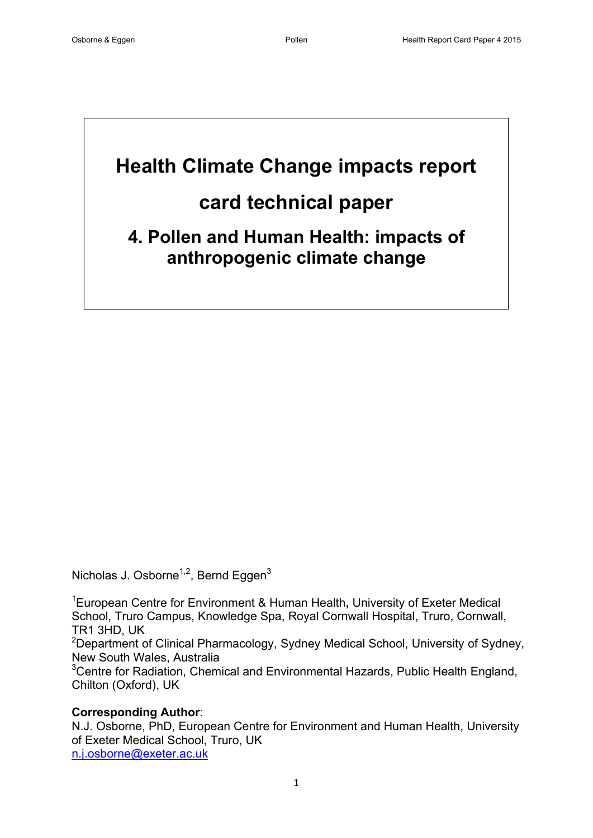# **Health Climate Change impacts report**

# **card technical paper**

**4. Pollen and Human Health: impacts of anthropogenic climate change**

Nicholas J. Osborne<sup>1,2</sup>, Bernd Eggen<sup>3</sup>

<sup>1</sup>European Centre for Environment & Human Health**,** University of Exeter Medical School, Truro Campus, Knowledge Spa, Royal Cornwall Hospital, Truro, Cornwall, TR1 3HD, UK

<sup>2</sup>Department of Clinical Pharmacology, Sydney Medical School, University of Sydney, New South Wales, Australia

<sup>3</sup>Centre for Radiation, Chemical and Environmental Hazards, Public Health England, Chilton (Oxford), UK

# **Corresponding Author**:

N.J. Osborne, PhD, European Centre for Environment and Human Health, University of Exeter Medical School, Truro, UK [n.j.osborne@exeter.ac.uk](mailto:n.j.osborne@exeter.ac.uk)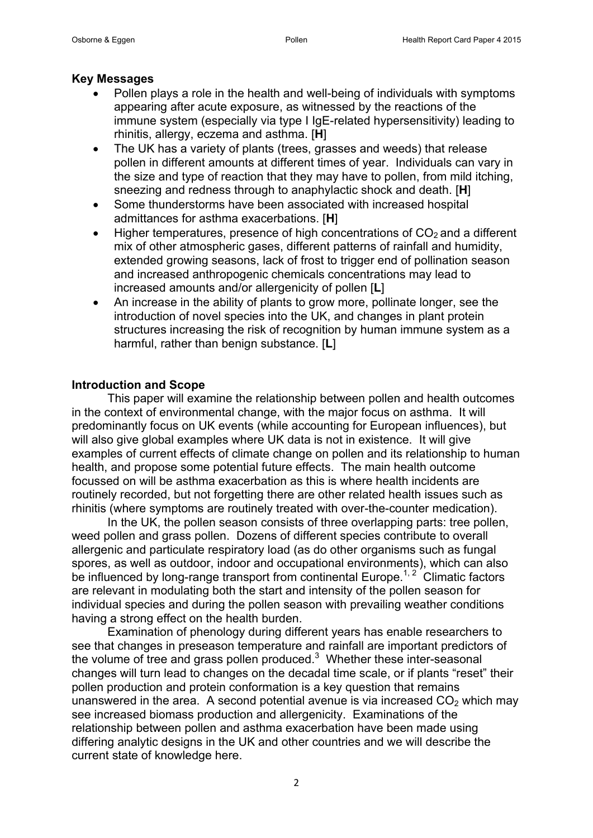#### **Key Messages**

- Pollen plays a role in the health and well-being of individuals with symptoms appearing after acute exposure, as witnessed by the reactions of the immune system (especially via type I IgE-related hypersensitivity) leading to rhinitis, allergy, eczema and asthma. [**H**]
- The UK has a variety of plants (trees, grasses and weeds) that release pollen in different amounts at different times of year. Individuals can vary in the size and type of reaction that they may have to pollen, from mild itching, sneezing and redness through to anaphylactic shock and death. [**H**]
- Some thunderstorms have been associated with increased hospital admittances for asthma exacerbations. [**H**]
- Higher temperatures, presence of high concentrations of  $CO<sub>2</sub>$  and a different mix of other atmospheric gases, different patterns of rainfall and humidity, extended growing seasons, lack of frost to trigger end of pollination season and increased anthropogenic chemicals concentrations may lead to increased amounts and/or allergenicity of pollen [**L**]
- An increase in the ability of plants to grow more, pollinate longer, see the introduction of novel species into the UK, and changes in plant protein structures increasing the risk of recognition by human immune system as a harmful, rather than benign substance. [**L**]

#### **Introduction and Scope**

This paper will examine the relationship between pollen and health outcomes in the context of environmental change, with the major focus on asthma. It will predominantly focus on UK events (while accounting for European influences), but will also give global examples where UK data is not in existence. It will give examples of current effects of climate change on pollen and its relationship to human health, and propose some potential future effects. The main health outcome focussed on will be asthma exacerbation as this is where health incidents are routinely recorded, but not forgetting there are other related health issues such as rhinitis (where symptoms are routinely treated with over-the-counter medication).

In the UK, the pollen season consists of three overlapping parts: tree pollen, weed pollen and grass pollen. Dozens of different species contribute to overall allergenic and particulate respiratory load (as do other organisms such as fungal spores, as well as outdoor, indoor and occupational environments), which can also be influenced by long-range transport from continental Europe.<sup>[1,](#page-10-0)2</sup> Climatic factors are relevant in modulating both the start and intensity of the pollen season for individual species and during the pollen season with prevailing weather conditions having a strong effect on the health burden.

Examination of phenology during different years has enable researchers to see that changes in preseason temperature and rainfall are important predictors of the volume of tree and grass pollen produced.<sup>[3](#page-10-2)</sup> Whether these inter-seasonal changes will turn lead to changes on the decadal time scale, or if plants "reset" their pollen production and protein conformation is a key question that remains unanswered in the area. A second potential avenue is via increased  $CO<sub>2</sub>$  which may see increased biomass production and allergenicity. Examinations of the relationship between pollen and asthma exacerbation have been made using differing analytic designs in the UK and other countries and we will describe the current state of knowledge here.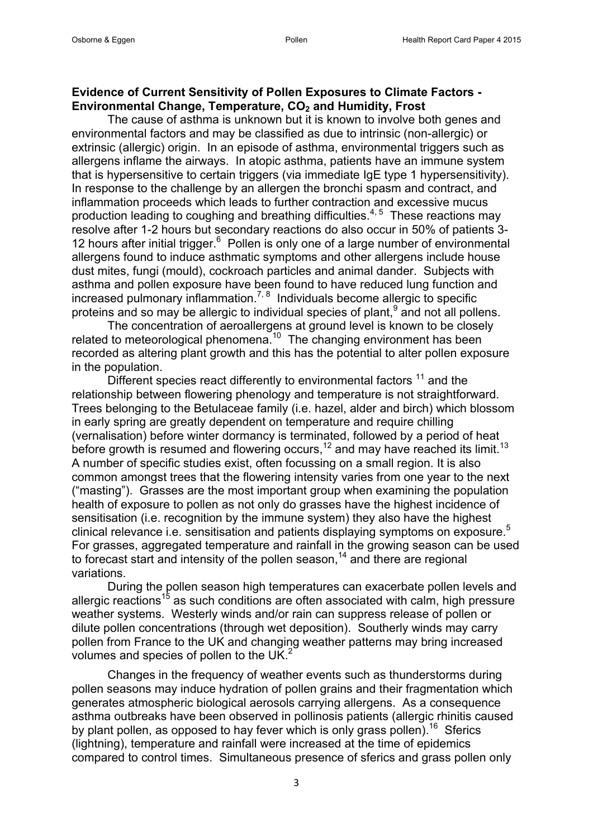#### **Evidence of Current Sensitivity of Pollen Exposures to Climate Factors - Environmental Change, Temperature, CO<sup>2</sup> and Humidity, Frost**

The cause of asthma is unknown but it is known to involve both genes and environmental factors and may be classified as due to intrinsic (non-allergic) or extrinsic (allergic) origin. In an episode of asthma, environmental triggers such as allergens inflame the airways. In atopic asthma, patients have an immune system that is hypersensitive to certain triggers (via immediate IgE type 1 hypersensitivity). In response to the challenge by an allergen the bronchi spasm and contract, and inflammation proceeds which leads to further contraction and excessive mucus production leading to coughing and breathing difficulties. $4,5$  $4,5$  These reactions may resolve after 1-2 hours but secondary reactions do also occur in 50% of patients 3- 12 hours after initial trigger.<sup>[6](#page-10-5)</sup> Pollen is only one of a large number of environmental allergens found to induce asthmatic symptoms and other allergens include house dust mites, fungi (mould), cockroach particles and animal dander. Subjects with asthma and pollen exposure have been found to have reduced lung function and  $increased$  pulmonary inflammation.<sup>[7,](#page-10-6) [8](#page-10-7)</sup> Individuals become allergic to specific proteins and so may be allergic to individual species of plant,  $9$  and not all pollens.

The concentration of aeroallergens at ground level is known to be closely related to meteorological phenomena.<sup>[10](#page-10-9)</sup> The changing environment has been recorded as altering plant growth and this has the potential to alter pollen exposure in the population.

Different species react differently to environmental factors  $11$  and the relationship between flowering phenology and temperature is not straightforward. Trees belonging to the Betulaceae family (i.e. hazel, alder and birch) which blossom in early spring are greatly dependent on temperature and require chilling (vernalisation) before winter dormancy is terminated, followed by a period of heat before growth is resumed and flowering occurs,  $12$  and may have reached its limit.  $13$ A number of specific studies exist, often focussing on a small region. It is also common amongst trees that the flowering intensity varies from one year to the next ("masting"). Grasses are the most important group when examining the population health of exposure to pollen as not only do grasses have the highest incidence of sensitisation (i.e. recognition by the immune system) they also have the highest clinical relevance i.e. sensitisation and patients displaying symptoms on exposure.<sup>[5](#page-10-4)</sup> For grasses, aggregated temperature and rainfall in the growing season can be used to forecast start and intensity of the pollen season,<sup>[14](#page-10-13)</sup> and there are regional variations.

During the pollen season high temperatures can exacerbate pollen levels and allergic reactions<sup>[15](#page-10-14)</sup> as such conditions are often associated with calm, high pressure weather systems. Westerly winds and/or rain can suppress release of pollen or dilute pollen concentrations (through wet deposition). Southerly winds may carry pollen from France to the UK and changing weather patterns may bring increased volumes and species of pollen to the UK. $<sup>2</sup>$  $<sup>2</sup>$  $<sup>2</sup>$ </sup>

Changes in the frequency of weather events such as thunderstorms during pollen seasons may induce hydration of pollen grains and their fragmentation which generates atmospheric biological aerosols carrying allergens. As a consequence asthma outbreaks have been observed in pollinosis patients (allergic rhinitis caused by plant pollen, as opposed to hay fever which is only grass pollen).<sup>[16](#page-10-15)</sup> Sferics (lightning), temperature and rainfall were increased at the time of epidemics compared to control times. Simultaneous presence of sferics and grass pollen only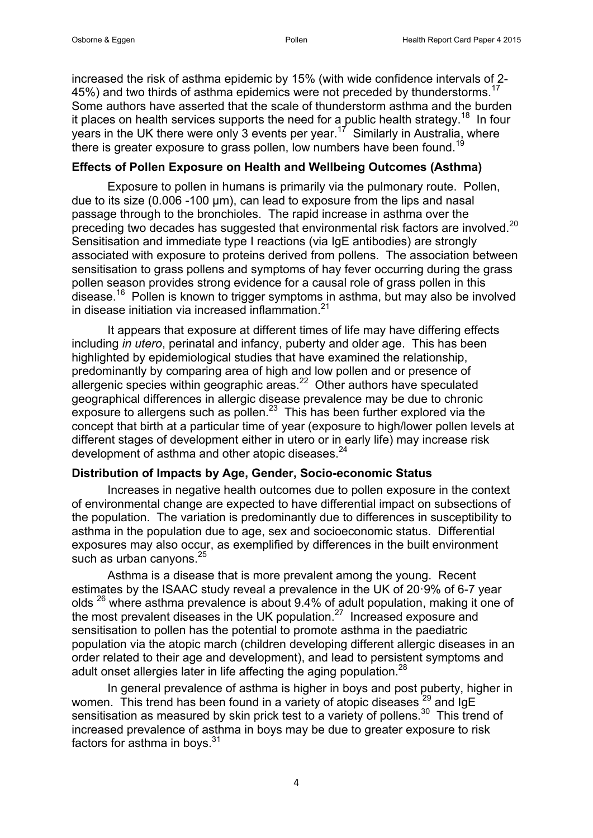increased the risk of asthma epidemic by 15% (with wide confidence intervals of 2- 45%) and two thirds of asthma epidemics were not preceded by thunderstorms.<sup>[17](#page-10-16)</sup> Some authors have asserted that the scale of thunderstorm asthma and the burden it places on health services supports the need for a public health strategy.<sup>[18](#page-10-17)</sup> In four years in the UK there were only 3 events per year.<sup>[17](#page-10-16)</sup> Similarly in Australia, where there is greater exposure to grass pollen, low numbers have been found.<sup>[19](#page-10-18)</sup>

# **Effects of Pollen Exposure on Health and Wellbeing Outcomes (Asthma)**

Exposure to pollen in humans is primarily via the pulmonary route. Pollen, due to its size (0.006 -100 μm), can lead to exposure from the lips and nasal passage through to the bronchioles. The rapid increase in asthma over the preceding two decades has suggested that environmental risk factors are involved. $^{20}$  $^{20}$  $^{20}$ Sensitisation and immediate type I reactions (via IgE antibodies) are strongly associated with exposure to proteins derived from pollens. The association between sensitisation to grass pollens and symptoms of hay fever occurring during the grass pollen season provides strong evidence for a causal role of grass pollen in this disease.<sup>[16](#page-10-15)</sup> Pollen is known to trigger symptoms in asthma, but may also be involved in disease initiation via increased inflammation  $21$ 

It appears that exposure at different times of life may have differing effects including *in utero*, perinatal and infancy, puberty and older age. This has been highlighted by epidemiological studies that have examined the relationship, predominantly by comparing area of high and low pollen and or presence of allergenic species within geographic areas. $22$  Other authors have speculated geographical differences in allergic disease prevalence may be due to chronic  $\epsilon$ xposure to allergens such as pollen. $^{23}$  $^{23}$  $^{23}$  This has been further explored via the concept that birth at a particular time of year (exposure to high/lower pollen levels at different stages of development either in utero or in early life) may increase risk development of asthma and other atopic diseases. $24$ 

#### **Distribution of Impacts by Age, Gender, Socio-economic Status**

Increases in negative health outcomes due to pollen exposure in the context of environmental change are expected to have differential impact on subsections of the population. The variation is predominantly due to differences in susceptibility to asthma in the population due to age, sex and socioeconomic status. Differential exposures may also occur, as exemplified by differences in the built environment such as urban canvons.<sup>[25](#page-11-5)</sup>

Asthma is a disease that is more prevalent among the young. Recent estimates by the ISAAC study reveal a prevalence in the UK of 20·9% of 6-7 year olds <sup>[26](#page-11-6)</sup> where asthma prevalence is about 9.4% of adult population, making it one of the most prevalent diseases in the UK population. $27$  Increased exposure and sensitisation to pollen has the potential to promote asthma in the paediatric population via the atopic march (children developing different allergic diseases in an order related to their age and development), and lead to persistent symptoms and adult onset allergies later in life affecting the aging population.<sup>[28](#page-11-8)</sup>

In general prevalence of asthma is higher in boys and post puberty, higher in women. This trend has been found in a variety of atopic diseases <sup>[29](#page-11-9)</sup> and IgE sensitisation as measured by skin prick test to a variety of pollens.<sup>[30](#page-11-10)</sup> This trend of increased prevalence of asthma in boys may be due to greater exposure to risk factors for asthma in boys. $31$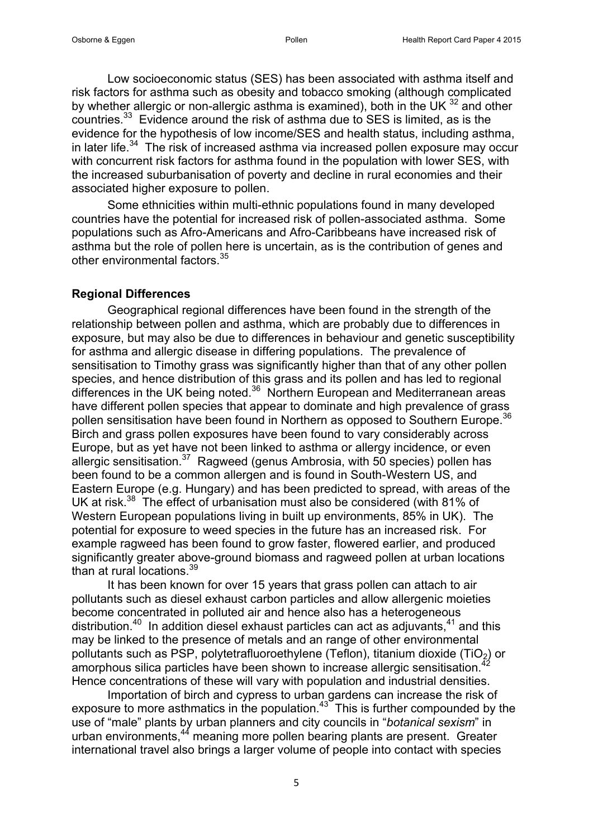Low socioeconomic status (SES) has been associated with asthma itself and risk factors for asthma such as obesity and tobacco smoking (although complicated by whether allergic or non-allergic asthma is examined), both in the UK  $^{32}$  $^{32}$  $^{32}$  and other countries. $33$  Evidence around the risk of asthma due to SES is limited, as is the evidence for the hypothesis of low income/SES and health status, including asthma, in later life.<sup>[34](#page-11-14)</sup> The risk of increased asthma via increased pollen exposure may occur with concurrent risk factors for asthma found in the population with lower SES, with the increased suburbanisation of poverty and decline in rural economies and their associated higher exposure to pollen.

Some ethnicities within multi-ethnic populations found in many developed countries have the potential for increased risk of pollen-associated asthma. Some populations such as Afro-Americans and Afro-Caribbeans have increased risk of asthma but the role of pollen here is uncertain, as is the contribution of genes and other environmental factors.<sup>[35](#page-11-15)</sup>

#### **Regional Differences**

Geographical regional differences have been found in the strength of the relationship between pollen and asthma, which are probably due to differences in exposure, but may also be due to differences in behaviour and genetic susceptibility for asthma and allergic disease in differing populations. The prevalence of sensitisation to Timothy grass was significantly higher than that of any other pollen species, and hence distribution of this grass and its pollen and has led to regional differences in the UK being noted.[36](#page-11-16) Northern European and Mediterranean areas have different pollen species that appear to dominate and high prevalence of grass pollen sensitisation have been found in Northern as opposed to Southern Europe. [36](#page-11-16) Birch and grass pollen exposures have been found to vary considerably across Europe, but as yet have not been linked to asthma or allergy incidence, or even allergic sensitisation.<sup>[37](#page-11-17)</sup> Ragweed (genus Ambrosia, with 50 species) pollen has been found to be a common allergen and is found in South-Western US, and Eastern Europe (e.g. Hungary) and has been predicted to spread, with areas of the UK at risk.<sup>[38](#page-11-18)</sup> The effect of urbanisation must also be considered (with 81% of Western European populations living in built up environments, 85% in UK). The potential for exposure to weed species in the future has an increased risk. For example ragweed has been found to grow faster, flowered earlier, and produced significantly greater above-ground biomass and ragweed pollen at urban locations than at rural locations.<sup>[39](#page-12-0)</sup>

It has been known for over 15 years that grass pollen can attach to air pollutants such as diesel exhaust carbon particles and allow allergenic moieties become concentrated in polluted air and hence also has a heterogeneous distribution.<sup>[40](#page-12-1)</sup> In addition diesel exhaust particles can act as adjuvants,  $41$  and this may be linked to the presence of metals and an range of other environmental pollutants such as PSP, polytetrafluoroethylene (Teflon), titanium dioxide (TiO<sub>2</sub>) or amorphous silica particles have been shown to increase allergic sensitisation.<sup>[42](#page-12-3)</sup> Hence concentrations of these will vary with population and industrial densities.

Importation of birch and cypress to urban gardens can increase the risk of exposure to more asthmatics in the population. $43<sup>3</sup>$  $43<sup>3</sup>$  This is further compounded by the use of "male" plants by urban planners and city councils in "*botanical sexism*" in urban environments,<sup>[44](#page-12-5)</sup> meaning more pollen bearing plants are present. Greater international travel also brings a larger volume of people into contact with species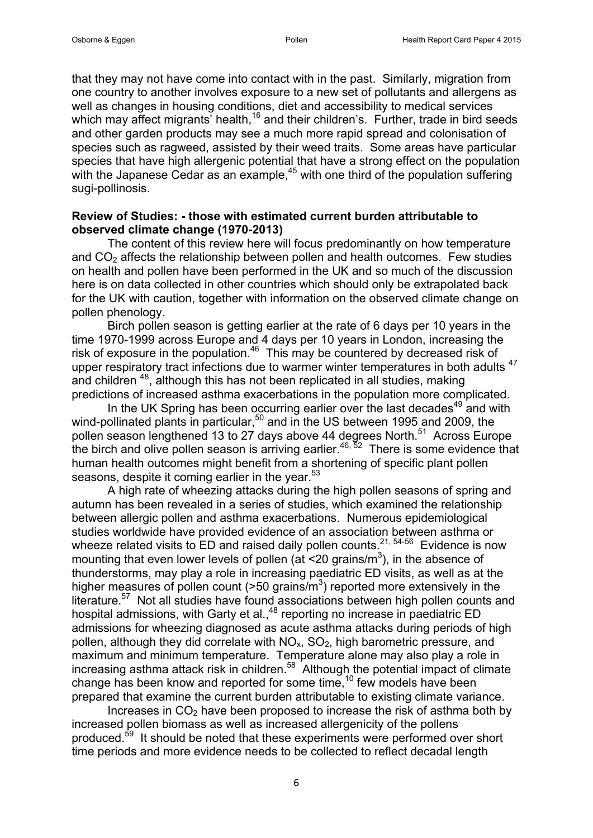that they may not have come into contact with in the past. Similarly, migration from one country to another involves exposure to a new set of pollutants and allergens as well as changes in housing conditions, diet and accessibility to medical services which may affect migrants' health,<sup>[16](#page-10-15)</sup> and their children's. Further, trade in bird seeds and other garden products may see a much more rapid spread and colonisation of species such as ragweed, assisted by their weed traits. Some areas have particular species that have high allergenic potential that have a strong effect on the population with the Japanese Cedar as an example,<sup>[45](#page-12-6)</sup> with one third of the population suffering sugi-pollinosis.

#### **Review of Studies: - those with estimated current burden attributable to observed climate change (1970-2013)**

The content of this review here will focus predominantly on how temperature and  $CO<sub>2</sub>$  affects the relationship between pollen and health outcomes. Few studies on health and pollen have been performed in the UK and so much of the discussion here is on data collected in other countries which should only be extrapolated back for the UK with caution, together with information on the observed climate change on pollen phenology.

Birch pollen season is getting earlier at the rate of 6 days per 10 years in the time 1970-1999 across Europe and 4 days per 10 years in London, increasing the risk of exposure in the population.<sup>[46](#page-12-7)</sup> This may be countered by decreased risk of upper respiratory tract infections due to warmer winter temperatures in both adults<sup>[47](#page-12-8)</sup> and children <sup>[48](#page-12-9)</sup>, although this has not been replicated in all studies, making predictions of increased asthma exacerbations in the population more complicated.

In the UK Spring has been occurring earlier over the last decades<sup>[49](#page-12-10)</sup> and with wind-pollinated plants in particular,<sup>[50](#page-12-11)</sup> and in the US between 1995 and 2009, the pollen season lengthened 13 to 27 days above 44 degrees North.<sup>[51](#page-12-12)</sup> Across Europe the birch and olive pollen season is arriving earlier.<sup>[46,](#page-12-7) [52](#page-12-13)</sup> There is some evidence that human health outcomes might benefit from a shortening of specific plant pollen seasons, despite it coming earlier in the year.<sup>[53](#page-12-14)</sup>

A high rate of wheezing attacks during the high pollen seasons of spring and autumn has been revealed in a series of studies, which examined the relationship between allergic pollen and asthma exacerbations. Numerous epidemiological studies worldwide have provided evidence of an association between asthma or wheeze related visits to ED and raised daily pollen counts.<sup>[21,](#page-11-1) [54-56](#page-12-15)</sup> Evidence is now mounting that even lower levels of pollen (at <20 grains/ $m<sup>3</sup>$ ), in the absence of thunderstorms, may play a role in increasing paediatric ED visits, as well as at the higher measures of pollen count ( $>50$  grains/m<sup>3</sup>) reported more extensively in the literature.<sup>[57](#page-13-0)</sup> Not all studies have found associations between high pollen counts and hospital admissions, with Garty et al.,<sup>[48](#page-12-9)</sup> reporting no increase in paediatric ED admissions for wheezing diagnosed as acute asthma attacks during periods of high pollen, although they did correlate with  $NO<sub>x</sub>$ ,  $SO<sub>2</sub>$ , high barometric pressure, and maximum and minimum temperature. Temperature alone may also play a role in increasing asthma attack risk in children.<sup>[58](#page-13-1)</sup> Although the potential impact of climate change has been know and reported for some time, <sup>[10](#page-10-9)</sup> few models have been prepared that examine the current burden attributable to existing climate variance.

Increases in  $CO<sub>2</sub>$  have been proposed to increase the risk of asthma both by increased pollen biomass as well as increased allergenicity of the pollens produced.<sup>[59](#page-13-2)</sup> It should be noted that these experiments were performed over short time periods and more evidence needs to be collected to reflect decadal length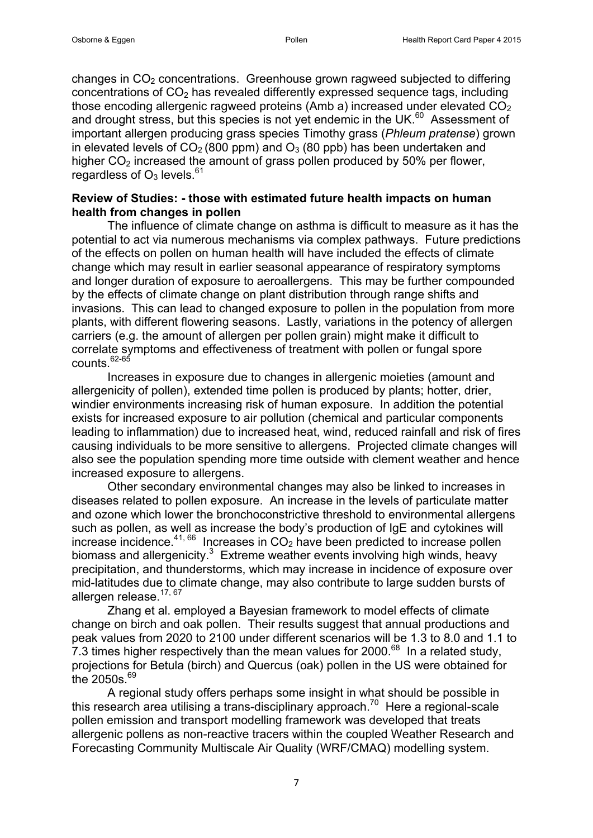changes in  $CO<sub>2</sub>$  concentrations. Greenhouse grown ragweed subjected to differing concentrations of  $CO<sub>2</sub>$  has revealed differently expressed sequence tags, including those encoding allergenic ragweed proteins (Amb a) increased under elevated  $CO<sub>2</sub>$ and drought stress, but this species is not yet endemic in the UK.<sup>[60](#page-13-3)</sup> Assessment of important allergen producing grass species Timothy grass (*Phleum pratense*) grown in elevated levels of  $CO<sub>2</sub>$  (800 ppm) and  $O<sub>3</sub>$  (80 ppb) has been undertaken and higher  $CO<sub>2</sub>$  increased the amount of grass pollen produced by 50% per flower. regardless of  $O_3$  levels.<sup>[61](#page-13-4)</sup>

#### **Review of Studies: - those with estimated future health impacts on human health from changes in pollen**

The influence of climate change on asthma is difficult to measure as it has the potential to act via numerous mechanisms via complex pathways. Future predictions of the effects on pollen on human health will have included the effects of climate change which may result in earlier seasonal appearance of respiratory symptoms and longer duration of exposure to aeroallergens. This may be further compounded by the effects of climate change on plant distribution through range shifts and invasions. This can lead to changed exposure to pollen in the population from more plants, with different flowering seasons. Lastly, variations in the potency of allergen carriers (e.g. the amount of allergen per pollen grain) might make it difficult to correlate symptoms and effectiveness of treatment with pollen or fungal spore  $\text{counts}$   $62-65$ 

Increases in exposure due to changes in allergenic moieties (amount and allergenicity of pollen), extended time pollen is produced by plants; hotter, drier, windier environments increasing risk of human exposure. In addition the potential exists for increased exposure to air pollution (chemical and particular components leading to inflammation) due to increased heat, wind, reduced rainfall and risk of fires causing individuals to be more sensitive to allergens. Projected climate changes will also see the population spending more time outside with clement weather and hence increased exposure to allergens.

Other secondary environmental changes may also be linked to increases in diseases related to pollen exposure. An increase in the levels of particulate matter and ozone which lower the bronchoconstrictive threshold to environmental allergens such as pollen, as well as increase the body's production of IgE and cytokines will increase incidence.<sup>[41,](#page-12-2) [66](#page-13-6)</sup> Increases in  $CO<sub>2</sub>$  have been predicted to increase pollen biomass and allergenicity. $3$  Extreme weather events involving high winds, heavy precipitation, and thunderstorms, which may increase in incidence of exposure over mid-latitudes due to climate change, may also contribute to large sudden bursts of allergen release.<sup>[17,](#page-10-16) [67](#page-13-7)</sup>

Zhang et al. employed a Bayesian framework to model effects of climate change on birch and oak pollen. Their results suggest that annual productions and peak values from 2020 to 2100 under different scenarios will be 1.3 to 8.0 and 1.1 to  $7.3$  times higher respectively than the mean values for 2000.<sup>[68](#page-13-8)</sup> In a related study, projections for Betula (birch) and Quercus (oak) pollen in the US were obtained for the 2050s. $69$ 

A regional study offers perhaps some insight in what should be possible in this research area utilising a trans-disciplinary approach.<sup>[70](#page-13-10)</sup> Here a regional-scale pollen emission and transport modelling framework was developed that treats allergenic pollens as non-reactive tracers within the coupled Weather Research and Forecasting Community Multiscale Air Quality (WRF/CMAQ) modelling system.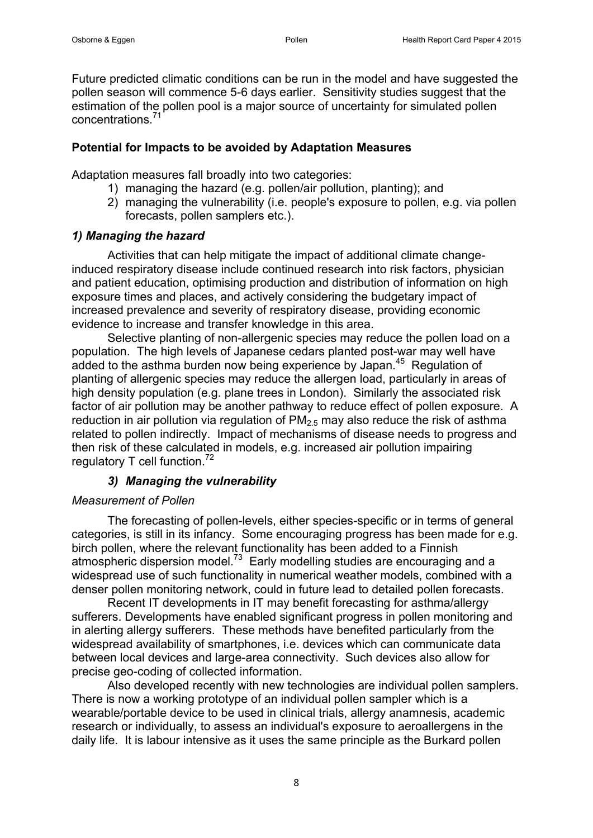Future predicted climatic conditions can be run in the model and have suggested the pollen season will commence 5-6 days earlier. Sensitivity studies suggest that the estimation of the pollen pool is a major source of uncertainty for simulated pollen concentrations<sup>[71](#page-13-11)</sup>

### **Potential for Impacts to be avoided by Adaptation Measures**

Adaptation measures fall broadly into two categories:

- 1) managing the hazard (e.g. pollen/air pollution, planting); and
- 2) managing the vulnerability (i.e. people's exposure to pollen, e.g. via pollen forecasts, pollen samplers etc.).

# *1) Managing the hazard*

Activities that can help mitigate the impact of additional climate changeinduced respiratory disease include continued research into risk factors, physician and patient education, optimising production and distribution of information on high exposure times and places, and actively considering the budgetary impact of increased prevalence and severity of respiratory disease, providing economic evidence to increase and transfer knowledge in this area.

Selective planting of non-allergenic species may reduce the pollen load on a population. The high levels of Japanese cedars planted post-war may well have added to the asthma burden now being experience by Japan.<sup>[45](#page-12-6)</sup> Regulation of planting of allergenic species may reduce the allergen load, particularly in areas of high density population (e.g. plane trees in London). Similarly the associated risk factor of air pollution may be another pathway to reduce effect of pollen exposure. A reduction in air pollution via regulation of  $PM<sub>2.5</sub>$  may also reduce the risk of asthma related to pollen indirectly. Impact of mechanisms of disease needs to progress and then risk of these calculated in models, e.g. increased air pollution impairing regulatory T cell function.<sup>[72](#page-13-12)</sup>

# *3) Managing the vulnerability*

# *Measurement of Pollen*

The forecasting of pollen-levels, either species-specific or in terms of general categories, is still in its infancy. Some encouraging progress has been made for e.g. birch pollen, where the relevant functionality has been added to a Finnish atmospheric dispersion model.<sup>[73](#page-13-13)</sup> Early modelling studies are encouraging and a widespread use of such functionality in numerical weather models, combined with a denser pollen monitoring network, could in future lead to detailed pollen forecasts.

Recent IT developments in IT may benefit forecasting for asthma/allergy sufferers. Developments have enabled significant progress in pollen monitoring and in alerting allergy sufferers. These methods have benefited particularly from the widespread availability of smartphones, i.e. devices which can communicate data between local devices and large-area connectivity. Such devices also allow for precise geo-coding of collected information.

Also developed recently with new technologies are individual pollen samplers. There is now a working prototype of an individual pollen sampler which is a wearable/portable device to be used in clinical trials, allergy anamnesis, academic research or individually, to assess an individual's exposure to aeroallergens in the daily life. It is labour intensive as it uses the same principle as the Burkard pollen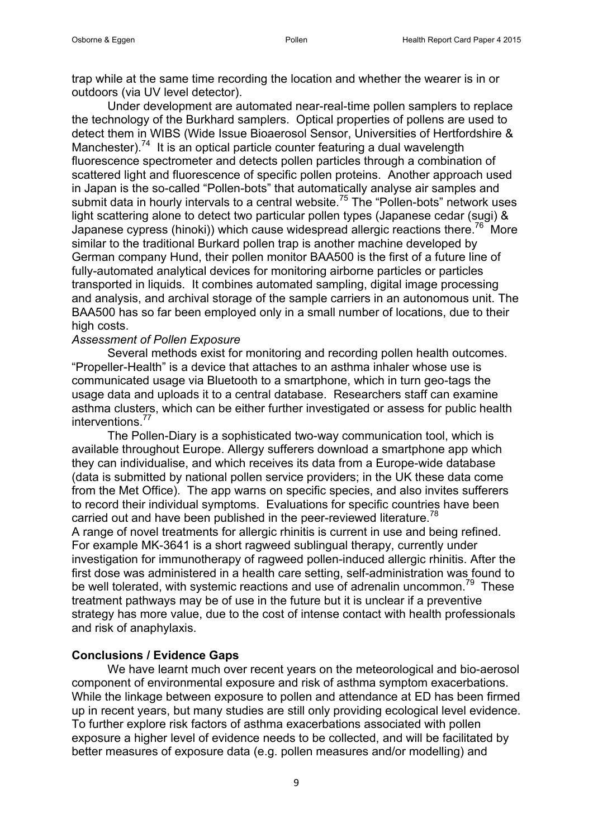trap while at the same time recording the location and whether the wearer is in or outdoors (via UV level detector).

Under development are automated near-real-time pollen samplers to replace the technology of the Burkhard samplers. Optical properties of pollens are used to detect them in WIBS (Wide Issue Bioaerosol Sensor, Universities of Hertfordshire & Manchester).<sup>[74](#page-13-14)</sup> It is an optical particle counter featuring a dual wavelength fluorescence spectrometer and detects pollen particles through a combination of scattered light and fluorescence of specific pollen proteins. Another approach used in Japan is the so-called "Pollen-bots" that automatically analyse air samples and submit data in hourly intervals to a central website.<sup>[75](#page-13-15)</sup> The "Pollen-bots" network uses light scattering alone to detect two particular pollen types (Japanese cedar (sugi) & Japanese cypress (hinoki)) which cause widespread allergic reactions there.<sup>[76](#page-13-16)</sup> More similar to the traditional Burkard pollen trap is another machine developed by German company Hund, their pollen monitor BAA500 is the first of a future line of fully-automated analytical devices for monitoring airborne particles or particles transported in liquids. It combines automated sampling, digital image processing and analysis, and archival storage of the sample carriers in an autonomous unit. The BAA500 has so far been employed only in a small number of locations, due to their high costs.

#### *Assessment of Pollen Exposure*

Several methods exist for monitoring and recording pollen health outcomes. "Propeller-Health" is a device that attaches to an asthma inhaler whose use is communicated usage via Bluetooth to a smartphone, which in turn geo-tags the usage data and uploads it to a central database. Researchers staff can examine asthma clusters, which can be either further investigated or assess for public health interventions. [77](#page-14-0)

The Pollen-Diary is a sophisticated two-way communication tool, which is available throughout Europe. Allergy sufferers download a smartphone app which they can individualise, and which receives its data from a Europe-wide database (data is submitted by national pollen service providers; in the UK these data come from the Met Office). The app warns on specific species, and also invites sufferers to record their individual symptoms. Evaluations for specific countries have been carried out and have been published in the peer-reviewed literature.<sup>[78](#page-14-1)</sup> A range of novel treatments for allergic rhinitis is current in use and being refined. For example MK-3641 is a short ragweed sublingual therapy, currently under investigation for immunotherapy of ragweed pollen-induced allergic rhinitis. After the first dose was administered in a health care setting, self-administration was found to be well tolerated, with systemic reactions and use of adrenalin uncommon.<sup>[79](#page-14-2)</sup> These

treatment pathways may be of use in the future but it is unclear if a preventive strategy has more value, due to the cost of intense contact with health professionals and risk of anaphylaxis.

#### **Conclusions / Evidence Gaps**

We have learnt much over recent years on the meteorological and bio-aerosol component of environmental exposure and risk of asthma symptom exacerbations. While the linkage between exposure to pollen and attendance at ED has been firmed up in recent years, but many studies are still only providing ecological level evidence. To further explore risk factors of asthma exacerbations associated with pollen exposure a higher level of evidence needs to be collected, and will be facilitated by better measures of exposure data (e.g. pollen measures and/or modelling) and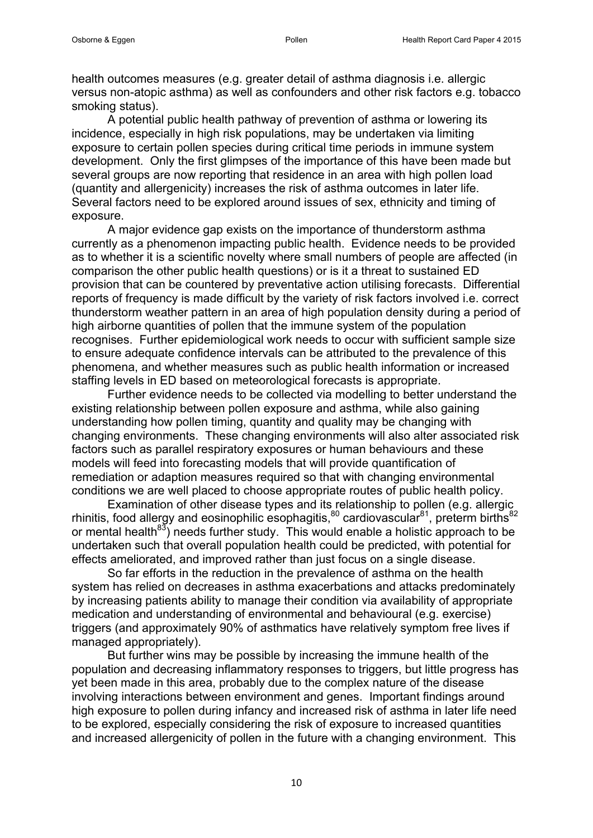health outcomes measures (e.g. greater detail of asthma diagnosis i.e. allergic versus non-atopic asthma) as well as confounders and other risk factors e.g. tobacco smoking status).

A potential public health pathway of prevention of asthma or lowering its incidence, especially in high risk populations, may be undertaken via limiting exposure to certain pollen species during critical time periods in immune system development. Only the first glimpses of the importance of this have been made but several groups are now reporting that residence in an area with high pollen load (quantity and allergenicity) increases the risk of asthma outcomes in later life. Several factors need to be explored around issues of sex, ethnicity and timing of exposure.

A major evidence gap exists on the importance of thunderstorm asthma currently as a phenomenon impacting public health. Evidence needs to be provided as to whether it is a scientific novelty where small numbers of people are affected (in comparison the other public health questions) or is it a threat to sustained ED provision that can be countered by preventative action utilising forecasts. Differential reports of frequency is made difficult by the variety of risk factors involved i.e. correct thunderstorm weather pattern in an area of high population density during a period of high airborne quantities of pollen that the immune system of the population recognises. Further epidemiological work needs to occur with sufficient sample size to ensure adequate confidence intervals can be attributed to the prevalence of this phenomena, and whether measures such as public health information or increased staffing levels in ED based on meteorological forecasts is appropriate.

Further evidence needs to be collected via modelling to better understand the existing relationship between pollen exposure and asthma, while also gaining understanding how pollen timing, quantity and quality may be changing with changing environments. These changing environments will also alter associated risk factors such as parallel respiratory exposures or human behaviours and these models will feed into forecasting models that will provide quantification of remediation or adaption measures required so that with changing environmental conditions we are well placed to choose appropriate routes of public health policy.

Examination of other disease types and its relationship to pollen (e.g. allergic rhinitis, food allergy and eosinophilic esophagitis,  $80$  cardiovascular  $81$ , preterm births  $82$ or mental health $^{83}$  $^{83}$  $^{83}$ ) needs further study. This would enable a holistic approach to be undertaken such that overall population health could be predicted, with potential for effects ameliorated, and improved rather than just focus on a single disease.

So far efforts in the reduction in the prevalence of asthma on the health system has relied on decreases in asthma exacerbations and attacks predominately by increasing patients ability to manage their condition via availability of appropriate medication and understanding of environmental and behavioural (e.g. exercise) triggers (and approximately 90% of asthmatics have relatively symptom free lives if managed appropriately).

But further wins may be possible by increasing the immune health of the population and decreasing inflammatory responses to triggers, but little progress has yet been made in this area, probably due to the complex nature of the disease involving interactions between environment and genes. Important findings around high exposure to pollen during infancy and increased risk of asthma in later life need to be explored, especially considering the risk of exposure to increased quantities and increased allergenicity of pollen in the future with a changing environment. This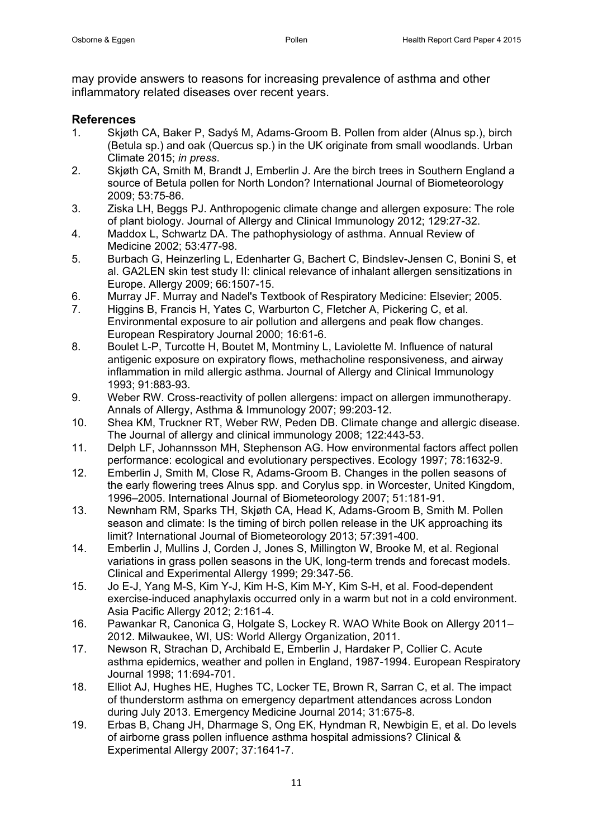may provide answers to reasons for increasing prevalence of asthma and other inflammatory related diseases over recent years.

#### **References**

- <span id="page-10-0"></span>1. Skjøth CA, Baker P, Sadyś M, Adams-Groom B. Pollen from alder (Alnus sp.), birch (Betula sp.) and oak (Quercus sp.) in the UK originate from small woodlands. Urban Climate 2015; *in press*.
- <span id="page-10-1"></span>2. Skjøth CA, Smith M, Brandt J, Emberlin J. Are the birch trees in Southern England a source of Betula pollen for North London? International Journal of Biometeorology 2009; 53:75-86.
- <span id="page-10-2"></span>3. Ziska LH, Beggs PJ. Anthropogenic climate change and allergen exposure: The role of plant biology. Journal of Allergy and Clinical Immunology 2012; 129:27-32.
- <span id="page-10-3"></span>4. Maddox L, Schwartz DA. The pathophysiology of asthma. Annual Review of Medicine 2002; 53:477-98.
- <span id="page-10-4"></span>5. Burbach G, Heinzerling L, Edenharter G, Bachert C, Bindslev-Jensen C, Bonini S, et al. GA2LEN skin test study II: clinical relevance of inhalant allergen sensitizations in Europe. Allergy 2009; 66:1507-15.
- <span id="page-10-5"></span>6. Murray JF. Murray and Nadel's Textbook of Respiratory Medicine: Elsevier; 2005.
- <span id="page-10-6"></span>7. Higgins B, Francis H, Yates C, Warburton C, Fletcher A, Pickering C, et al. Environmental exposure to air pollution and allergens and peak flow changes. European Respiratory Journal 2000; 16:61-6.
- <span id="page-10-7"></span>8. Boulet L-P, Turcotte H, Boutet M, Montminy L, Laviolette M. Influence of natural antigenic exposure on expiratory flows, methacholine responsiveness, and airway inflammation in mild allergic asthma. Journal of Allergy and Clinical Immunology 1993; 91:883-93.
- <span id="page-10-8"></span>9. Weber RW. Cross-reactivity of pollen allergens: impact on allergen immunotherapy. Annals of Allergy, Asthma & Immunology 2007; 99:203-12.
- <span id="page-10-9"></span>10. Shea KM, Truckner RT, Weber RW, Peden DB. Climate change and allergic disease. The Journal of allergy and clinical immunology 2008; 122:443-53.
- <span id="page-10-10"></span>11. Delph LF, Johannsson MH, Stephenson AG. How environmental factors affect pollen performance: ecological and evolutionary perspectives. Ecology 1997; 78:1632-9.
- <span id="page-10-11"></span>12. Emberlin J, Smith M, Close R, Adams-Groom B. Changes in the pollen seasons of the early flowering trees Alnus spp. and Corylus spp. in Worcester, United Kingdom, 1996–2005. International Journal of Biometeorology 2007; 51:181-91.
- <span id="page-10-12"></span>13. Newnham RM, Sparks TH, Skjøth CA, Head K, Adams-Groom B, Smith M. Pollen season and climate: Is the timing of birch pollen release in the UK approaching its limit? International Journal of Biometeorology 2013; 57:391-400.
- <span id="page-10-13"></span>14. Emberlin J, Mullins J, Corden J, Jones S, Millington W, Brooke M, et al. Regional variations in grass pollen seasons in the UK, long-term trends and forecast models. Clinical and Experimental Allergy 1999; 29:347-56.
- <span id="page-10-14"></span>15. Jo E-J, Yang M-S, Kim Y-J, Kim H-S, Kim M-Y, Kim S-H, et al. Food-dependent exercise-induced anaphylaxis occurred only in a warm but not in a cold environment. Asia Pacific Allergy 2012; 2:161-4.
- <span id="page-10-15"></span>16. Pawankar R, Canonica G, Holgate S, Lockey R. WAO White Book on Allergy 2011– 2012. Milwaukee, WI, US: World Allergy Organization, 2011.
- <span id="page-10-16"></span>17. Newson R, Strachan D, Archibald E, Emberlin J, Hardaker P, Collier C. Acute asthma epidemics, weather and pollen in England, 1987-1994. European Respiratory Journal 1998; 11:694-701.
- <span id="page-10-17"></span>18. Elliot AJ, Hughes HE, Hughes TC, Locker TE, Brown R, Sarran C, et al. The impact of thunderstorm asthma on emergency department attendances across London during July 2013. Emergency Medicine Journal 2014; 31:675-8.
- <span id="page-10-18"></span>19. Erbas B, Chang JH, Dharmage S, Ong EK, Hyndman R, Newbigin E, et al. Do levels of airborne grass pollen influence asthma hospital admissions? Clinical & Experimental Allergy 2007; 37:1641-7.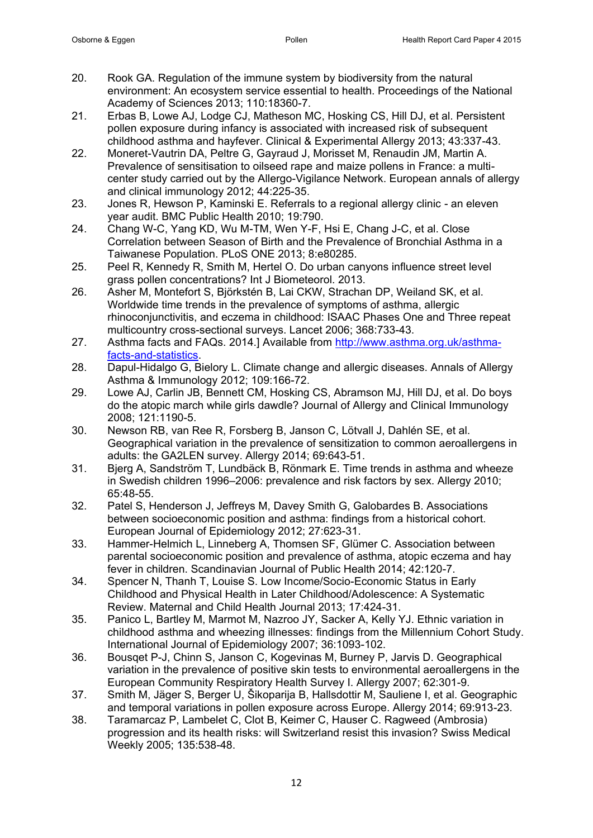- <span id="page-11-0"></span>20. Rook GA. Regulation of the immune system by biodiversity from the natural environment: An ecosystem service essential to health. Proceedings of the National Academy of Sciences 2013; 110:18360-7.
- <span id="page-11-1"></span>21. Erbas B, Lowe AJ, Lodge CJ, Matheson MC, Hosking CS, Hill DJ, et al. Persistent pollen exposure during infancy is associated with increased risk of subsequent childhood asthma and hayfever. Clinical & Experimental Allergy 2013; 43:337-43.
- <span id="page-11-2"></span>22. Moneret-Vautrin DA, Peltre G, Gayraud J, Morisset M, Renaudin JM, Martin A. Prevalence of sensitisation to oilseed rape and maize pollens in France: a multicenter study carried out by the Allergo-Vigilance Network. European annals of allergy and clinical immunology 2012; 44:225-35.
- <span id="page-11-3"></span>23. Jones R, Hewson P, Kaminski E. Referrals to a regional allergy clinic - an eleven year audit. BMC Public Health 2010; 19:790.
- <span id="page-11-4"></span>24. Chang W-C, Yang KD, Wu M-TM, Wen Y-F, Hsi E, Chang J-C, et al. Close Correlation between Season of Birth and the Prevalence of Bronchial Asthma in a Taiwanese Population. PLoS ONE 2013; 8:e80285.
- <span id="page-11-5"></span>25. Peel R, Kennedy R, Smith M, Hertel O. Do urban canyons influence street level grass pollen concentrations? Int J Biometeorol. 2013.
- <span id="page-11-6"></span>26. Asher M, Montefort S, Björkstén B, Lai CKW, Strachan DP, Weiland SK, et al. Worldwide time trends in the prevalence of symptoms of asthma, allergic rhinoconjunctivitis, and eczema in childhood: ISAAC Phases One and Three repeat multicountry cross-sectional surveys. Lancet 2006; 368:733-43.
- <span id="page-11-7"></span>27. Asthma facts and FAQs. 2014.] Available from [http://www.asthma.org.uk/asthma](http://www.asthma.org.uk/asthma-facts-and-statistics)[facts-and-statistics.](http://www.asthma.org.uk/asthma-facts-and-statistics)
- <span id="page-11-8"></span>28. Dapul-Hidalgo G, Bielory L. Climate change and allergic diseases. Annals of Allergy Asthma & Immunology 2012; 109:166-72.
- <span id="page-11-9"></span>29. Lowe AJ, Carlin JB, Bennett CM, Hosking CS, Abramson MJ, Hill DJ, et al. Do boys do the atopic march while girls dawdle? Journal of Allergy and Clinical Immunology 2008; 121:1190-5.
- <span id="page-11-10"></span>30. Newson RB, van Ree R, Forsberg B, Janson C, Lötvall J, Dahlén SE, et al. Geographical variation in the prevalence of sensitization to common aeroallergens in adults: the GA2LEN survey. Allergy 2014; 69:643-51.
- <span id="page-11-11"></span>31. Bjerg A, Sandström T, Lundbäck B, Rönmark E. Time trends in asthma and wheeze in Swedish children 1996–2006: prevalence and risk factors by sex. Allergy 2010; 65:48-55.
- <span id="page-11-12"></span>32. Patel S, Henderson J, Jeffreys M, Davey Smith G, Galobardes B. Associations between socioeconomic position and asthma: findings from a historical cohort. European Journal of Epidemiology 2012; 27:623-31.
- <span id="page-11-13"></span>33. Hammer-Helmich L, Linneberg A, Thomsen SF, Glümer C. Association between parental socioeconomic position and prevalence of asthma, atopic eczema and hay fever in children. Scandinavian Journal of Public Health 2014; 42:120-7.
- <span id="page-11-14"></span>34. Spencer N, Thanh T, Louise S. Low Income/Socio-Economic Status in Early Childhood and Physical Health in Later Childhood/Adolescence: A Systematic Review. Maternal and Child Health Journal 2013; 17:424-31.
- <span id="page-11-15"></span>35. Panico L, Bartley M, Marmot M, Nazroo JY, Sacker A, Kelly YJ. Ethnic variation in childhood asthma and wheezing illnesses: findings from the Millennium Cohort Study. International Journal of Epidemiology 2007; 36:1093-102.
- <span id="page-11-16"></span>36. Bousqet P-J, Chinn S, Janson C, Kogevinas M, Burney P, Jarvis D. Geographical variation in the prevalence of positive skin tests to environmental aeroallergens in the European Community Respiratory Health Survey I. Allergy 2007; 62:301-9.
- <span id="page-11-17"></span>37. Smith M, Jäger S, Berger U, Šikoparija B, Hallsdottir M, Sauliene I, et al. Geographic and temporal variations in pollen exposure across Europe. Allergy 2014; 69:913-23.
- <span id="page-11-18"></span>38. Taramarcaz P, Lambelet C, Clot B, Keimer C, Hauser C. Ragweed (Ambrosia) progression and its health risks: will Switzerland resist this invasion? Swiss Medical Weekly 2005; 135:538-48.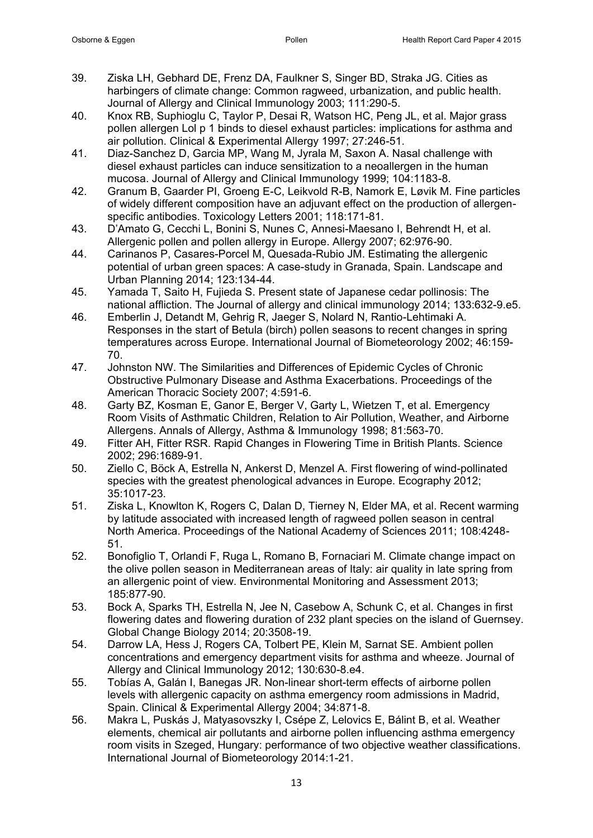- <span id="page-12-0"></span>39. Ziska LH, Gebhard DE, Frenz DA, Faulkner S, Singer BD, Straka JG. Cities as harbingers of climate change: Common ragweed, urbanization, and public health. Journal of Allergy and Clinical Immunology 2003; 111:290-5.
- <span id="page-12-1"></span>40. Knox RB, Suphioglu C, Taylor P, Desai R, Watson HC, Peng JL, et al. Major grass pollen allergen Lol p 1 binds to diesel exhaust particles: implications for asthma and air pollution. Clinical & Experimental Allergy 1997; 27:246-51.
- <span id="page-12-2"></span>41. Diaz-Sanchez D, Garcia MP, Wang M, Jyrala M, Saxon A. Nasal challenge with diesel exhaust particles can induce sensitization to a neoallergen in the human mucosa. Journal of Allergy and Clinical Immunology 1999; 104:1183-8.
- <span id="page-12-3"></span>42. Granum B, Gaarder PI, Groeng E-C, Leikvold R-B, Namork E, Løvik M. Fine particles of widely different composition have an adjuvant effect on the production of allergenspecific antibodies. Toxicology Letters 2001; 118:171-81.
- <span id="page-12-4"></span>43. D'Amato G, Cecchi L, Bonini S, Nunes C, Annesi-Maesano I, Behrendt H, et al. Allergenic pollen and pollen allergy in Europe. Allergy 2007; 62:976-90.
- <span id="page-12-5"></span>44. Carinanos P, Casares-Porcel M, Quesada-Rubio JM. Estimating the allergenic potential of urban green spaces: A case-study in Granada, Spain. Landscape and Urban Planning 2014; 123:134-44.
- <span id="page-12-6"></span>45. Yamada T, Saito H, Fujieda S. Present state of Japanese cedar pollinosis: The national affliction. The Journal of allergy and clinical immunology 2014; 133:632-9.e5.
- <span id="page-12-7"></span>46. Emberlin J, Detandt M, Gehrig R, Jaeger S, Nolard N, Rantio-Lehtimaki A. Responses in the start of Betula (birch) pollen seasons to recent changes in spring temperatures across Europe. International Journal of Biometeorology 2002; 46:159- 70.
- <span id="page-12-8"></span>47. Johnston NW. The Similarities and Differences of Epidemic Cycles of Chronic Obstructive Pulmonary Disease and Asthma Exacerbations. Proceedings of the American Thoracic Society 2007; 4:591-6.
- <span id="page-12-9"></span>48. Garty BZ, Kosman E, Ganor E, Berger V, Garty L, Wietzen T, et al. Emergency Room Visits of Asthmatic Children, Relation to Air Pollution, Weather, and Airborne Allergens. Annals of Allergy, Asthma & Immunology 1998; 81:563-70.
- <span id="page-12-10"></span>49. Fitter AH, Fitter RSR. Rapid Changes in Flowering Time in British Plants. Science 2002; 296:1689-91.
- <span id="page-12-11"></span>50. Ziello C, Böck A, Estrella N, Ankerst D, Menzel A. First flowering of wind-pollinated species with the greatest phenological advances in Europe. Ecography 2012; 35:1017-23.
- <span id="page-12-12"></span>51. Ziska L, Knowlton K, Rogers C, Dalan D, Tierney N, Elder MA, et al. Recent warming by latitude associated with increased length of ragweed pollen season in central North America. Proceedings of the National Academy of Sciences 2011; 108:4248- 51.
- <span id="page-12-13"></span>52. Bonofiglio T, Orlandi F, Ruga L, Romano B, Fornaciari M. Climate change impact on the olive pollen season in Mediterranean areas of Italy: air quality in late spring from an allergenic point of view. Environmental Monitoring and Assessment 2013; 185:877-90.
- <span id="page-12-14"></span>53. Bock A, Sparks TH, Estrella N, Jee N, Casebow A, Schunk C, et al. Changes in first flowering dates and flowering duration of 232 plant species on the island of Guernsey. Global Change Biology 2014; 20:3508-19.
- <span id="page-12-15"></span>54. Darrow LA, Hess J, Rogers CA, Tolbert PE, Klein M, Sarnat SE. Ambient pollen concentrations and emergency department visits for asthma and wheeze. Journal of Allergy and Clinical Immunology 2012; 130:630-8.e4.
- 55. Tobías A, Galán I, Banegas JR. Non-linear short-term effects of airborne pollen levels with allergenic capacity on asthma emergency room admissions in Madrid, Spain. Clinical & Experimental Allergy 2004; 34:871-8.
- 56. Makra L, Puskás J, Matyasovszky I, Csépe Z, Lelovics E, Bálint B, et al. Weather elements, chemical air pollutants and airborne pollen influencing asthma emergency room visits in Szeged, Hungary: performance of two objective weather classifications. International Journal of Biometeorology 2014:1-21.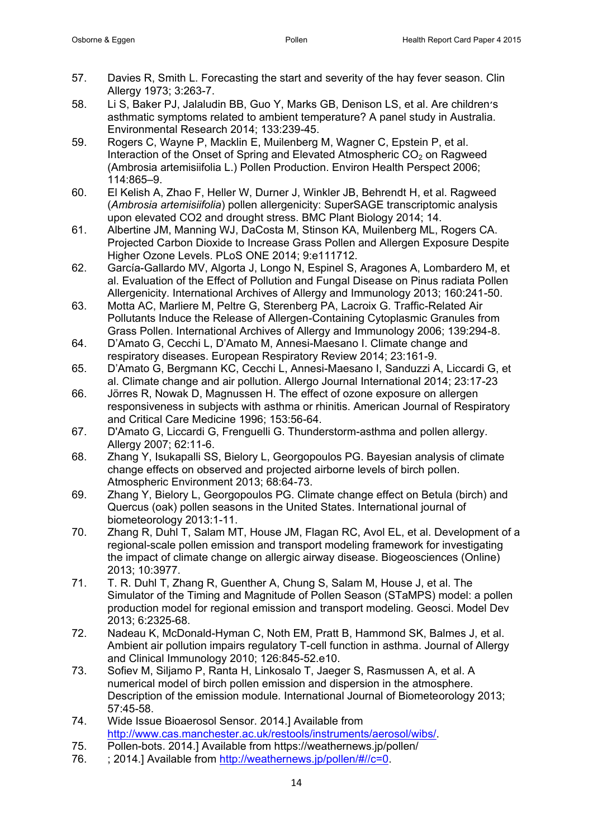- <span id="page-13-0"></span>57. Davies R, Smith L. Forecasting the start and severity of the hay fever season. Clin Allergy 1973; 3:263-7.
- <span id="page-13-1"></span>58. Li S, Baker PJ, Jalaludin BB, Guo Y, Marks GB, Denison LS, et al. Are children׳s asthmatic symptoms related to ambient temperature? A panel study in Australia. Environmental Research 2014; 133:239-45.
- <span id="page-13-2"></span>59. Rogers C, Wayne P, Macklin E, Muilenberg M, Wagner C, Epstein P, et al. Interaction of the Onset of Spring and Elevated Atmospheric  $CO<sub>2</sub>$  on Ragweed (Ambrosia artemisiifolia L.) Pollen Production. Environ Health Perspect 2006; 114:865–9.
- <span id="page-13-3"></span>60. El Kelish A, Zhao F, Heller W, Durner J, Winkler JB, Behrendt H, et al. Ragweed (*Ambrosia artemisiifolia*) pollen allergenicity: SuperSAGE transcriptomic analysis upon elevated CO2 and drought stress. BMC Plant Biology 2014; 14.
- <span id="page-13-4"></span>61. Albertine JM, Manning WJ, DaCosta M, Stinson KA, Muilenberg ML, Rogers CA. Projected Carbon Dioxide to Increase Grass Pollen and Allergen Exposure Despite Higher Ozone Levels. PLoS ONE 2014; 9:e111712.
- <span id="page-13-5"></span>62. García-Gallardo MV, Algorta J, Longo N, Espinel S, Aragones A, Lombardero M, et al. Evaluation of the Effect of Pollution and Fungal Disease on Pinus radiata Pollen Allergenicity. International Archives of Allergy and Immunology 2013; 160:241-50.
- 63. Motta AC, Marliere M, Peltre G, Sterenberg PA, Lacroix G. Traffic-Related Air Pollutants Induce the Release of Allergen-Containing Cytoplasmic Granules from Grass Pollen. International Archives of Allergy and Immunology 2006; 139:294-8.
- 64. D'Amato G, Cecchi L, D'Amato M, Annesi-Maesano I. Climate change and respiratory diseases. European Respiratory Review 2014; 23:161-9.
- 65. D'Amato G, Bergmann KC, Cecchi L, Annesi-Maesano I, Sanduzzi A, Liccardi G, et al. Climate change and air pollution. Allergo Journal International 2014; 23:17-23
- <span id="page-13-6"></span>66. Jörres R, Nowak D, Magnussen H. The effect of ozone exposure on allergen responsiveness in subjects with asthma or rhinitis. American Journal of Respiratory and Critical Care Medicine 1996; 153:56-64.
- <span id="page-13-7"></span>67. D'Amato G, Liccardi G, Frenguelli G. Thunderstorm-asthma and pollen allergy. Allergy 2007; 62:11-6.
- <span id="page-13-8"></span>68. Zhang Y, Isukapalli SS, Bielory L, Georgopoulos PG. Bayesian analysis of climate change effects on observed and projected airborne levels of birch pollen. Atmospheric Environment 2013; 68:64-73.
- <span id="page-13-9"></span>69. Zhang Y, Bielory L, Georgopoulos PG. Climate change effect on Betula (birch) and Quercus (oak) pollen seasons in the United States. International journal of biometeorology 2013:1-11.
- <span id="page-13-10"></span>70. Zhang R, Duhl T, Salam MT, House JM, Flagan RC, Avol EL, et al. Development of a regional-scale pollen emission and transport modeling framework for investigating the impact of climate change on allergic airway disease. Biogeosciences (Online) 2013; 10:3977.
- <span id="page-13-11"></span>71. T. R. Duhl T, Zhang R, Guenther A, Chung S, Salam M, House J, et al. The Simulator of the Timing and Magnitude of Pollen Season (STaMPS) model: a pollen production model for regional emission and transport modeling. Geosci. Model Dev 2013; 6:2325-68.
- <span id="page-13-12"></span>72. Nadeau K, McDonald-Hyman C, Noth EM, Pratt B, Hammond SK, Balmes J, et al. Ambient air pollution impairs regulatory T-cell function in asthma. Journal of Allergy and Clinical Immunology 2010; 126:845-52.e10.
- <span id="page-13-13"></span>73. Sofiev M, Siljamo P, Ranta H, Linkosalo T, Jaeger S, Rasmussen A, et al. A numerical model of birch pollen emission and dispersion in the atmosphere. Description of the emission module. International Journal of Biometeorology 2013; 57:45-58.
- <span id="page-13-14"></span>74. Wide Issue Bioaerosol Sensor. 2014.] Available from [http://www.cas.manchester.ac.uk/restools/instruments/aerosol/wibs/.](http://www.cas.manchester.ac.uk/restools/instruments/aerosol/wibs/)
- <span id="page-13-15"></span>75. Pollen-bots. 2014.] Available from https://weathernews.jp/pollen/<br>76. : 2014.] Available from http://weathernews.jp/pollen/#//c=0.
- <span id="page-13-16"></span>76. ; 2014.] Available from [http://weathernews.jp/pollen/#//c=0.](http://weathernews.jp/pollen/#//c=0)